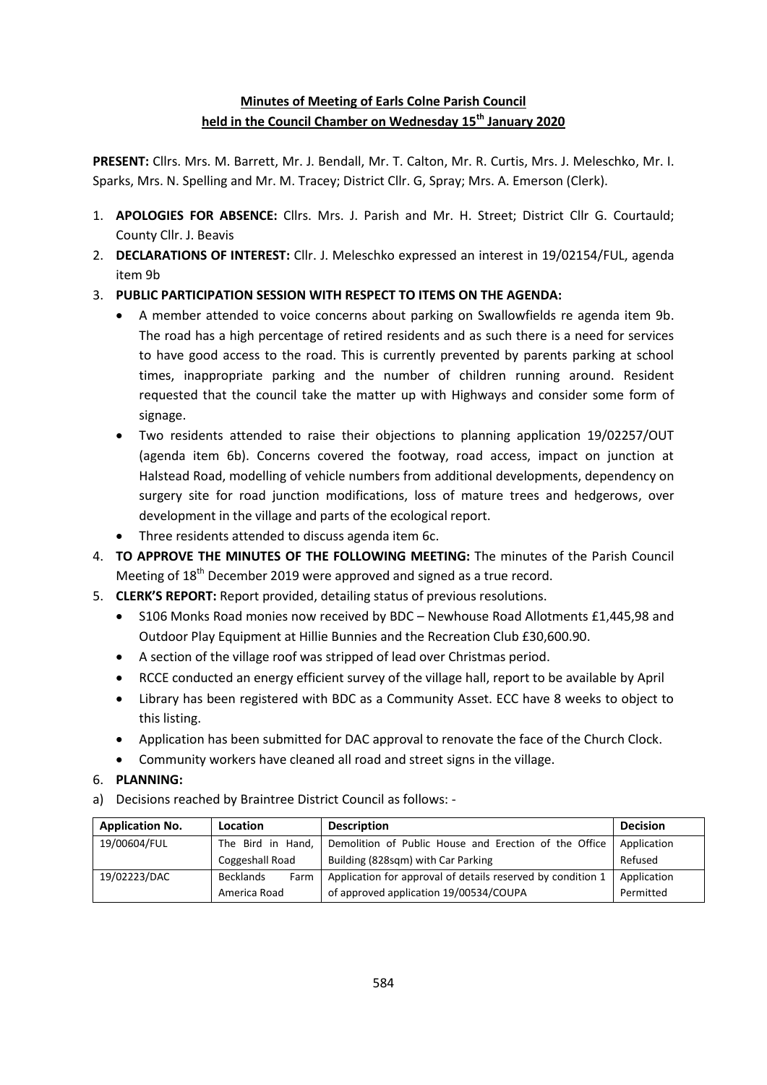# **Minutes of Meeting of Earls Colne Parish Council held in the Council Chamber on Wednesday 15th January 2020**

**PRESENT:** Cllrs. Mrs. M. Barrett, Mr. J. Bendall, Mr. T. Calton, Mr. R. Curtis, Mrs. J. Meleschko, Mr. I. Sparks, Mrs. N. Spelling and Mr. M. Tracey; District Cllr. G, Spray; Mrs. A. Emerson (Clerk).

- 1. **APOLOGIES FOR ABSENCE:** Cllrs. Mrs. J. Parish and Mr. H. Street; District Cllr G. Courtauld; County Cllr. J. Beavis
- 2. **DECLARATIONS OF INTEREST:** Cllr. J. Meleschko expressed an interest in 19/02154/FUL, agenda item 9b
- 3. **PUBLIC PARTICIPATION SESSION WITH RESPECT TO ITEMS ON THE AGENDA:**
	- A member attended to voice concerns about parking on Swallowfields re agenda item 9b. The road has a high percentage of retired residents and as such there is a need for services to have good access to the road. This is currently prevented by parents parking at school times, inappropriate parking and the number of children running around. Resident requested that the council take the matter up with Highways and consider some form of signage.
	- Two residents attended to raise their objections to planning application 19/02257/OUT (agenda item 6b). Concerns covered the footway, road access, impact on junction at Halstead Road, modelling of vehicle numbers from additional developments, dependency on surgery site for road junction modifications, loss of mature trees and hedgerows, over development in the village and parts of the ecological report.
	- Three residents attended to discuss agenda item 6c.
- 4. **TO APPROVE THE MINUTES OF THE FOLLOWING MEETING:** The minutes of the Parish Council Meeting of  $18<sup>th</sup>$  December 2019 were approved and signed as a true record.
- 5. **CLERK'S REPORT:** Report provided, detailing status of previous resolutions.
	- S106 Monks Road monies now received by BDC Newhouse Road Allotments £1,445,98 and Outdoor Play Equipment at Hillie Bunnies and the Recreation Club £30,600.90.
	- A section of the village roof was stripped of lead over Christmas period.
	- RCCE conducted an energy efficient survey of the village hall, report to be available by April
	- Library has been registered with BDC as a Community Asset. ECC have 8 weeks to object to this listing.
	- Application has been submitted for DAC approval to renovate the face of the Church Clock.
	- Community workers have cleaned all road and street signs in the village.
- 6. **PLANNING:**
- a) Decisions reached by Braintree District Council as follows: -

| <b>Application No.</b> | <b>Location</b>          | <b>Description</b>                                          | <b>Decision</b> |
|------------------------|--------------------------|-------------------------------------------------------------|-----------------|
| 19/00604/FUL           | The Bird in Hand,        | Demolition of Public House and Erection of the Office       | Application     |
|                        | Coggeshall Road          | Building (828sqm) with Car Parking                          | Refused         |
| 19/02223/DAC           | <b>Becklands</b><br>Farm | Application for approval of details reserved by condition 1 | Application     |
|                        | America Road             | of approved application 19/00534/COUPA                      | Permitted       |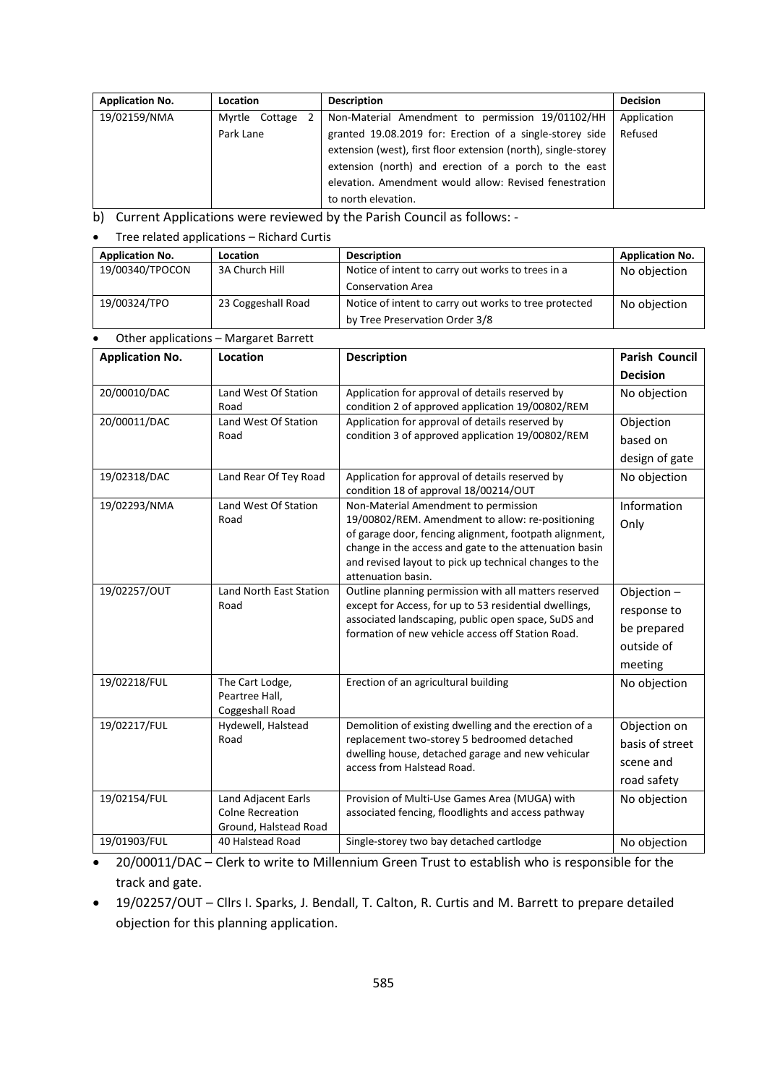| <b>Application No.</b> | Location         | <b>Description</b>                                             | <b>Decision</b> |
|------------------------|------------------|----------------------------------------------------------------|-----------------|
| 19/02159/NMA           | Myrtle Cottage 2 | Non-Material Amendment to permission 19/01102/HH               | Application     |
|                        | Park Lane        | granted 19.08.2019 for: Erection of a single-storey side       | Refused         |
|                        |                  | extension (west), first floor extension (north), single-storey |                 |
|                        |                  | extension (north) and erection of a porch to the east          |                 |
|                        |                  | elevation. Amendment would allow: Revised fenestration         |                 |
|                        |                  | to north elevation.                                            |                 |

b) Current Applications were reviewed by the Parish Council as follows: -

#### Tree related applications – Richard Curtis

| <b>Application No.</b> | Location           | <b>Description</b>                                    | <b>Application No.</b> |
|------------------------|--------------------|-------------------------------------------------------|------------------------|
| 19/00340/TPOCON        | 3A Church Hill     | Notice of intent to carry out works to trees in a     | No objection           |
|                        |                    | <b>Conservation Area</b>                              |                        |
| 19/00324/TPO           | 23 Coggeshall Road | Notice of intent to carry out works to tree protected | No objection           |
|                        |                    | by Tree Preservation Order 3/8                        |                        |

### Other applications – Margaret Barrett

| <b>Application No.</b> | Location                                  | <b>Description</b>                                                                                                                                                                                                          | <b>Parish Council</b> |
|------------------------|-------------------------------------------|-----------------------------------------------------------------------------------------------------------------------------------------------------------------------------------------------------------------------------|-----------------------|
|                        |                                           |                                                                                                                                                                                                                             | <b>Decision</b>       |
| 20/00010/DAC           | Land West Of Station<br>Road              | Application for approval of details reserved by<br>condition 2 of approved application 19/00802/REM                                                                                                                         | No objection          |
| 20/00011/DAC           | Land West Of Station                      | Application for approval of details reserved by                                                                                                                                                                             | Objection             |
|                        | Road                                      | condition 3 of approved application 19/00802/REM                                                                                                                                                                            | based on              |
|                        |                                           |                                                                                                                                                                                                                             | design of gate        |
| 19/02318/DAC           | Land Rear Of Tey Road                     | Application for approval of details reserved by<br>condition 18 of approval 18/00214/OUT                                                                                                                                    | No objection          |
| 19/02293/NMA           | Land West Of Station                      | Non-Material Amendment to permission                                                                                                                                                                                        | Information           |
|                        | Road                                      | 19/00802/REM. Amendment to allow: re-positioning                                                                                                                                                                            | Only                  |
|                        |                                           | of garage door, fencing alignment, footpath alignment,<br>change in the access and gate to the attenuation basin                                                                                                            |                       |
|                        |                                           | and revised layout to pick up technical changes to the                                                                                                                                                                      |                       |
|                        |                                           | attenuation basin.                                                                                                                                                                                                          |                       |
| 19/02257/OUT           | Land North East Station<br>Road           | Outline planning permission with all matters reserved<br>except for Access, for up to 53 residential dwellings,<br>associated landscaping, public open space, SuDS and<br>formation of new vehicle access off Station Road. | Objection-            |
|                        |                                           |                                                                                                                                                                                                                             | response to           |
|                        |                                           |                                                                                                                                                                                                                             | be prepared           |
|                        |                                           |                                                                                                                                                                                                                             | outside of            |
|                        |                                           |                                                                                                                                                                                                                             | meeting               |
| 19/02218/FUL           | The Cart Lodge,                           | Erection of an agricultural building                                                                                                                                                                                        | No objection          |
|                        | Peartree Hall,<br>Coggeshall Road         |                                                                                                                                                                                                                             |                       |
| 19/02217/FUL           | Hydewell, Halstead<br>Road                | Demolition of existing dwelling and the erection of a<br>replacement two-storey 5 bedroomed detached<br>dwelling house, detached garage and new vehicular<br>access from Halstead Road.                                     | Objection on          |
|                        |                                           |                                                                                                                                                                                                                             | basis of street       |
|                        |                                           |                                                                                                                                                                                                                             | scene and             |
|                        |                                           |                                                                                                                                                                                                                             | road safety           |
| 19/02154/FUL           | Land Adjacent Earls                       | Provision of Multi-Use Games Area (MUGA) with                                                                                                                                                                               | No objection          |
|                        | <b>Colne Recreation</b>                   | associated fencing, floodlights and access pathway                                                                                                                                                                          |                       |
| 19/01903/FUL           | Ground, Halstead Road<br>40 Halstead Road | Single-storey two bay detached cartlodge                                                                                                                                                                                    |                       |
|                        |                                           |                                                                                                                                                                                                                             | No objection          |

 20/00011/DAC – Clerk to write to Millennium Green Trust to establish who is responsible for the track and gate.

 19/02257/OUT – Cllrs I. Sparks, J. Bendall, T. Calton, R. Curtis and M. Barrett to prepare detailed objection for this planning application.